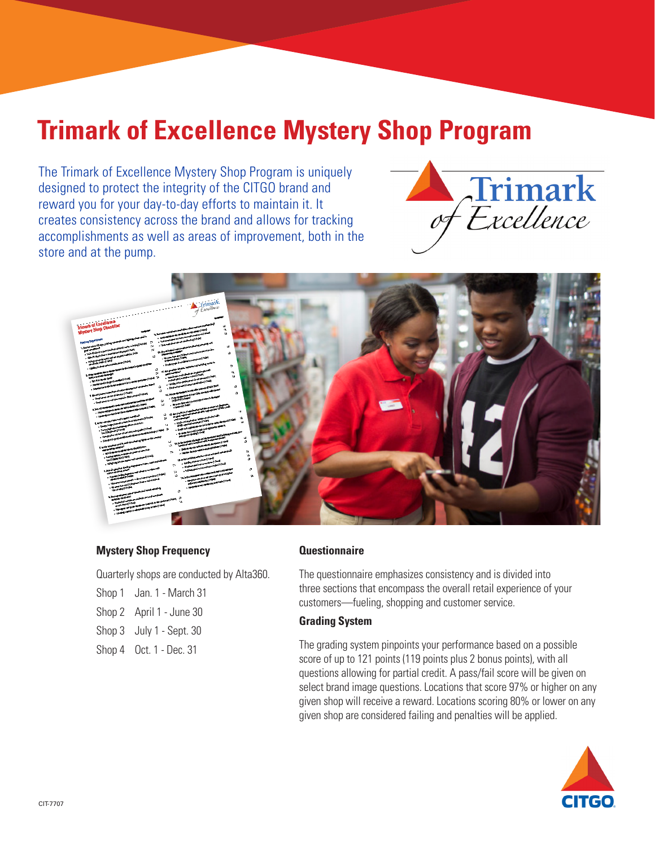# **Trimark of Excellence Mystery Shop Program**

The Trimark of Excellence Mystery Shop Program is uniquely designed to protect the integrity of the CITGO brand and reward you for your day-to-day efforts to maintain it. It creates consistency across the brand and allows for tracking accomplishments as well as areas of improvement, both in the store and at the pump.





#### **Mystery Shop Frequency**

Quarterly shops are conducted by Alta360.

| Shop 1 Jan. 1 - March 31 |
|--------------------------|
| Shop 2 April 1 - June 30 |
| Shop 3 July 1 - Sept. 30 |
| Shop 4 Oct. 1 - Dec. 31  |

#### **Questionnaire**

The questionnaire emphasizes consistency and is divided into three sections that encompass the overall retail experience of your customers—fueling, shopping and customer service.

#### **Grading System**

The grading system pinpoints your performance based on a possible score of up to 121 points (119 points plus 2 bonus points), with all questions allowing for partial credit. A pass/fail score will be given on select brand image questions. Locations that score 97% or higher on any given shop will receive a reward. Locations scoring 80% or lower on any given shop are considered failing and penalties will be applied.